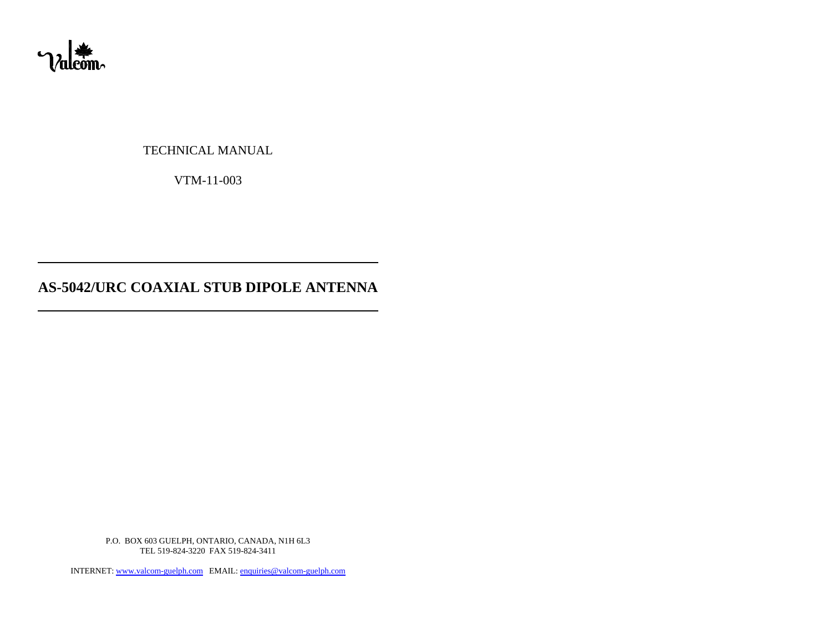

TECHNICAL MANUAL

VTM-11-003

# **AS-5042/URC COAXIAL STUB DIPOLE ANTENNA**

P.O. BOX 603 GUELPH, ONTARIO, CANADA, N1H 6L3 TEL 519-824-3220 FAX 519-824-3411

INTERNET: www.valcom-guelph.com EMAIL: enquiries@valcom-guelph.com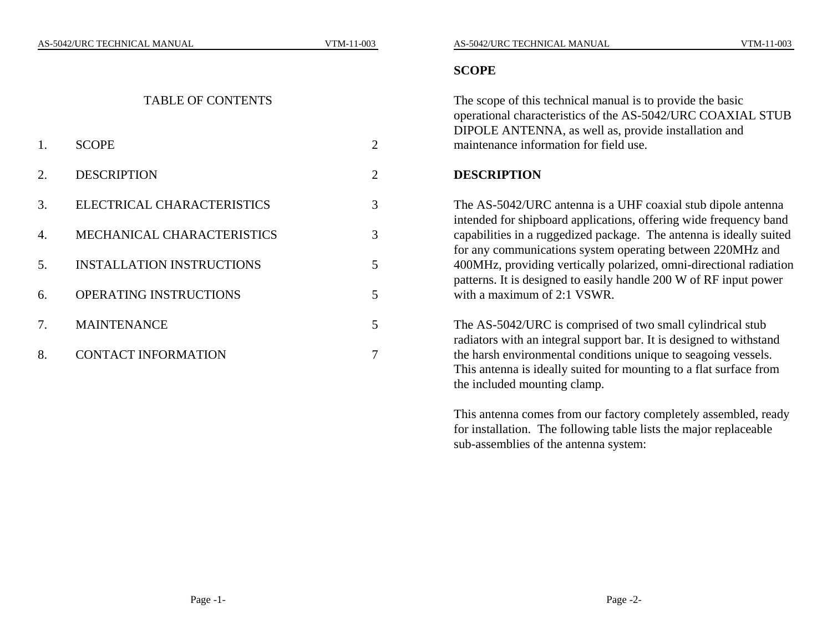#### TABLE OF CONTENTS

| 1. | <b>SCOPE</b>                     | 2 |
|----|----------------------------------|---|
| 2. | <b>DESCRIPTION</b>               | 2 |
| 3. | ELECTRICAL CHARACTERISTICS       | 3 |
| 4. | MECHANICAL CHARACTERISTICS       | 3 |
| 5. | <b>INSTALLATION INSTRUCTIONS</b> | 5 |
| 6. | <b>OPERATING INSTRUCTIONS</b>    | 5 |
| 7. | <b>MAINTENANCE</b>               | 5 |
| 8. | <b>CONTACT INFORMATION</b>       |   |

#### **SCOPE**

The scope of this technical manual is to provide the basic operational characteristics of the AS-5042/URC COAXIAL STUB DIPOLE ANTENNA, as well as, provide installation and maintenance information for field use.

### **DESCRIPTION**

The AS-5042/URC antenna is a UHF coaxial stub dipole antenna intended for shipboard applications, offering wide frequency band capabilities in a ruggedized package. The antenna is ideally suited for any communications system operating between 220MHz and 400MHz, providing vertically polarized, omni-directional radiation patterns. It is designed to easily handle 200 W of RF input power with a maximum of 2:1 VSWR.

The AS-5042/URC is comprised of two small cylindrical stub radiators with an integral support bar. It is designed to withstand the harsh environmental conditions unique to seagoing vessels. This antenna is ideally suited for mounting to a flat surface from the included mounting clamp.

This antenna comes from our factory completely assembled, ready for installation. The following table lists the major replaceable sub-assemblies of the antenna system: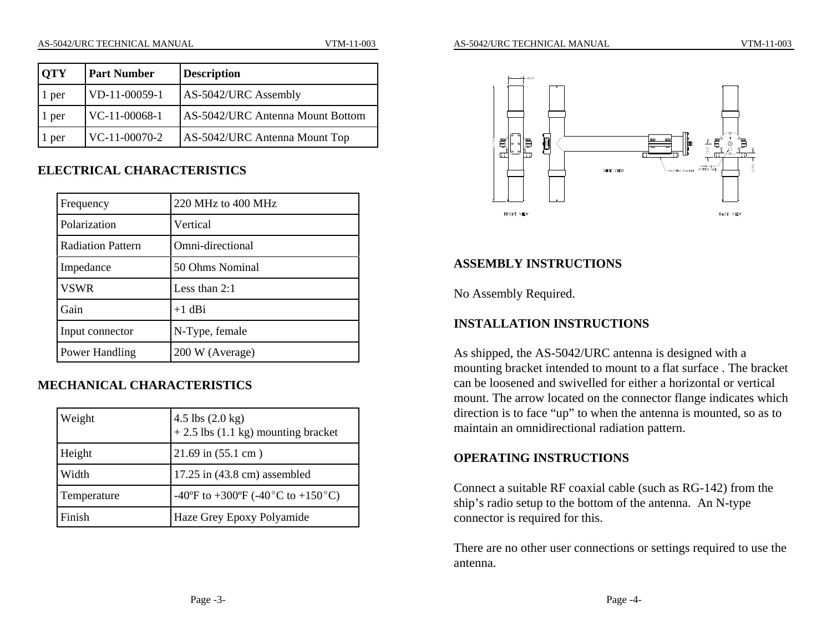| <b>OTY</b> | <b>Part Number</b> | <b>Description</b>               |
|------------|--------------------|----------------------------------|
| . per      | VD-11-00059-1      | AS-5042/URC Assembly             |
| 1 per      | $VC-11-00068-1$    | AS-5042/URC Antenna Mount Bottom |
| per        | $VC-11-00070-2$    | AS-5042/URC Antenna Mount Top    |

#### **ELECTRICAL CHARACTERISTICS**

| Frequency                | 220 MHz to 400 MHz |
|--------------------------|--------------------|
| Polarization             | Vertical           |
| <b>Radiation Pattern</b> | Omni-directional   |
| Impedance                | 50 Ohms Nominal    |
| <b>VSWR</b>              | Less than $2:1$    |
| Gain                     | $+1$ dBi           |
| Input connector          | N-Type, female     |
| Power Handling           | 200 W (Average)    |

# **MECHANICAL CHARACTERISTICS**

| Weight      | $4.5$ lbs $(2.0 \text{ kg})$<br>+ 2.5 lbs $(1.1 \text{ kg})$ mounting bracket |
|-------------|-------------------------------------------------------------------------------|
| Height      | $21.69$ in $(55.1$ cm)                                                        |
| Width       | $17.25$ in (43.8 cm) assembled                                                |
| Temperature | -40°F to +300°F (-40°C to +150°C)                                             |
| Finish      | Haze Grey Epoxy Polyamide                                                     |



### **ASSEMBLY INSTRUCTIONS**

No Assembly Required.

### **INSTALLATION INSTRUCTIONS**

As shipped, the AS-5042/URC antenna is designed with a mounting bracket intended to mount to a flat surface . The bracket can be loosened and swivelled for either a horizontal or vertical mount. The arrow located on the connector flange indicates which direction is to face "up" to when the antenna is mounted, so as to maintain an omnidirectional radiation pattern.

# **OPERATING INSTRUCTIONS**

Connect a suitable RF coaxial cable (such as RG-142) from the ship's radio setup to the bottom of the antenna. An N-type connector is required for this.

There are no other user connections or settings required to use the antenna.